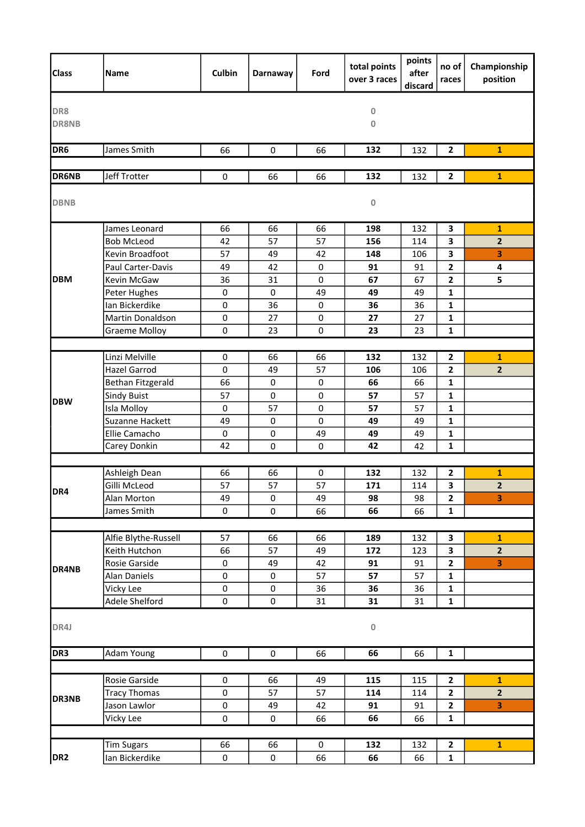| <b>Class</b>        | <b>Name</b>          | <b>Culbin</b>     | Darnaway    | Ford      | total points<br>over 3 races | points<br>after<br>discard | no of<br>races | Championship<br>position |
|---------------------|----------------------|-------------------|-------------|-----------|------------------------------|----------------------------|----------------|--------------------------|
| DR8<br><b>DR8NB</b> |                      |                   |             |           | 0<br>$\mathbf{0}$            |                            |                |                          |
| DR <sub>6</sub>     | James Smith          | 66                | $\mathbf 0$ | 66        | 132                          | 132                        | $\mathbf{2}$   | $\mathbf{1}$             |
| <b>DR6NB</b>        | Jeff Trotter         | $\pmb{0}$         | 66          | 66        | 132                          | 132                        | $\mathbf{2}$   | $\mathbf{1}$             |
| <b>DBNB</b>         |                      |                   |             |           | 0                            |                            |                |                          |
|                     | James Leonard        | 66                | 66          | 66        | 198                          | 132                        | 3              | $\mathbf{1}$             |
|                     | <b>Bob McLeod</b>    | 42                | 57          | 57        | 156                          | 114                        | 3              | $\mathbf{2}$             |
|                     | Kevin Broadfoot      | 57                | 49          | 42        | 148                          | 106                        | 3              | 3                        |
|                     | Paul Carter-Davis    | 49                | 42          | 0         | 91                           | 91                         | 2              | 4                        |
| <b>DBM</b>          | Kevin McGaw          | 36                | 31          | 0         | 67                           | 67                         | 2              | 5                        |
|                     | Peter Hughes         | $\pmb{0}$         | $\mathbf 0$ | 49        | 49                           | 49                         | 1              |                          |
|                     | Ian Bickerdike       | $\pmb{0}$         | 36          | 0         | 36                           | 36                         | 1              |                          |
|                     | Martin Donaldson     | $\pmb{0}$         | 27          | $\pmb{0}$ | 27                           | 27                         | 1              |                          |
|                     | <b>Graeme Molloy</b> | $\pmb{0}$         | 23          | 0         | 23                           | 23                         | 1              |                          |
|                     |                      |                   |             |           |                              |                            |                |                          |
|                     | Linzi Melville       | 0                 | 66          | 66        | 132                          | 132                        | $\mathbf{2}$   | $\mathbf{1}$             |
|                     | Hazel Garrod         | $\pmb{0}$         | 49          | 57        | 106                          | 106                        | 2              | $\overline{\mathbf{2}}$  |
|                     | Bethan Fitzgerald    | 66                | $\pmb{0}$   | $\pmb{0}$ | 66                           | 66                         | 1              |                          |
| <b>DBW</b>          | <b>Sindy Buist</b>   | 57                | 0           | $\pmb{0}$ | 57                           | 57                         | 1              |                          |
|                     | Isla Molloy          | $\pmb{0}$         | 57          | 0         | 57                           | 57                         | 1              |                          |
|                     | Suzanne Hackett      | 49                | $\pmb{0}$   | 0         | 49                           | 49                         | 1              |                          |
|                     | Ellie Camacho        | $\pmb{0}$         | 0           | 49        | 49                           | 49                         | 1              |                          |
|                     | Carey Donkin         | 42                | 0           | 0         | 42                           | 42                         | 1              |                          |
|                     |                      |                   |             |           |                              |                            |                |                          |
|                     | Ashleigh Dean        | 66                | 66          | 0         | 132                          | 132                        | 2              | 1                        |
| DR4                 | Gilli McLeod         | 57                | 57          | 57        | 171                          | 114                        | 3              | $\mathbf{2}$             |
|                     | Alan Morton          | 49<br>$\mathbf 0$ | $\pmb{0}$   | 49        | 98                           | 98                         | $\mathbf{2}$   | 3                        |
|                     | James Smith          |                   | 0           | 66        | 66                           | 66                         | $\mathbf{1}$   |                          |
|                     | Alfie Blythe-Russell | 57                | 66          | 66        | 189                          | 132                        | 3              | $\mathbf{1}$             |
|                     | Keith Hutchon        | 66                | 57          | 49        | 172                          | 123                        | 3              | $\overline{2}$           |
| DR4NB               | Rosie Garside        | $\pmb{0}$         | 49          | 42        | 91                           | 91                         | 2              | 3                        |
|                     | <b>Alan Daniels</b>  | $\pmb{0}$         | 0           | 57        | 57                           | 57                         | $\mathbf 1$    |                          |
|                     | Vicky Lee            | $\pmb{0}$         | 0           | 36        | 36                           | 36                         | $\mathbf{1}$   |                          |
|                     | Adele Shelford       | $\mathbf 0$       | $\pmb{0}$   | 31        | 31                           | 31                         | $\mathbf{1}$   |                          |
| DR4J                |                      |                   |             |           | $\mathbf 0$                  |                            |                |                          |
| DR3                 | <b>Adam Young</b>    | $\pmb{0}$         | $\mathbf 0$ | 66        | 66                           | 66                         | $\mathbf 1$    |                          |
|                     |                      |                   |             |           |                              |                            |                |                          |
| <b>DR3NB</b>        | Rosie Garside        | $\pmb{0}$         | 66          | 49        | 115                          | 115                        | $\mathbf{2}$   | $\mathbf{1}$             |
|                     | <b>Tracy Thomas</b>  | $\pmb{0}$         | 57          | 57        | 114                          | 114                        | $\mathbf{2}$   | $\overline{2}$           |
|                     | Jason Lawlor         | $\pmb{0}$         | 49          | 42        | 91                           | 91                         | 2              | 3                        |
|                     | Vicky Lee            | $\mathsf 0$       | 0           | 66        | 66                           | 66                         | $\mathbf 1$    |                          |
|                     |                      |                   |             |           |                              |                            |                |                          |
|                     | <b>Tim Sugars</b>    | 66                | 66          | 0         | 132                          | 132                        | $\mathbf{2}$   | $\mathbf{1}$             |
| DR <sub>2</sub>     | Ian Bickerdike       | $\pmb{0}$         | $\pmb{0}$   | 66        | 66                           | 66                         | $\mathbf{1}$   |                          |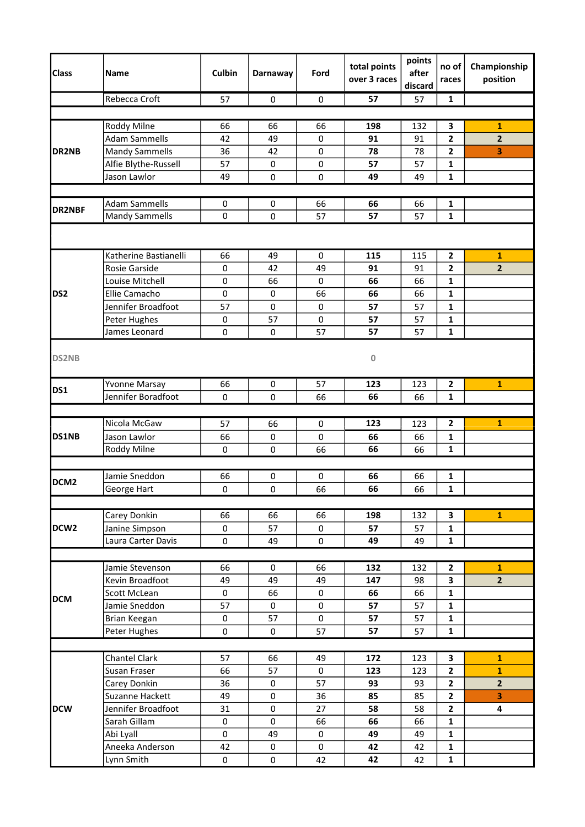| <b>Class</b>     | <b>Name</b>           | <b>Culbin</b>       | Darnaway  | Ford      | total points<br>over 3 races | points<br>after<br>discard | no of<br>races          | Championship<br>position |
|------------------|-----------------------|---------------------|-----------|-----------|------------------------------|----------------------------|-------------------------|--------------------------|
|                  | Rebecca Croft         | 57                  | 0         | 0         | 57                           | 57                         | 1                       |                          |
|                  |                       |                     |           |           |                              |                            |                         |                          |
| DR2NB            | Roddy Milne           | 66                  | 66        | 66        | 198                          | 132                        | 3                       | 1                        |
|                  | <b>Adam Sammells</b>  | 42                  | 49        | 0         | 91                           | 91                         | $\mathbf{2}$            | $\overline{2}$           |
|                  | <b>Mandy Sammells</b> | 36                  | 42        | $\pmb{0}$ | 78                           | 78                         | $\mathbf{2}$            | 3                        |
|                  | Alfie Blythe-Russell  | 57                  | 0         | 0         | 57                           | 57                         | 1                       |                          |
|                  | Jason Lawlor          | 49                  | 0         | 0         | 49                           | 49                         | 1                       |                          |
|                  |                       |                     |           |           |                              |                            |                         |                          |
| <b>DR2NBF</b>    | <b>Adam Sammells</b>  | 0                   | 0         | 66        | 66                           | 66                         | 1                       |                          |
|                  | <b>Mandy Sammells</b> | 0                   | 0         | 57        | 57                           | 57                         | $\mathbf{1}$            |                          |
|                  |                       |                     |           |           |                              |                            |                         |                          |
|                  | Katherine Bastianelli | 66                  | 49        | 0         | 115                          | 115                        | $\mathbf{2}$            | $\mathbf{1}$             |
|                  | <b>Rosie Garside</b>  | $\pmb{0}$           | 42        | 49        | 91                           | 91                         | $\mathbf{2}$            | $\overline{2}$           |
|                  | Louise Mitchell       | $\pmb{0}$           | 66        | $\pmb{0}$ | 66                           | 66                         | $\mathbf{1}$            |                          |
| DS <sub>2</sub>  | Ellie Camacho         | 0                   | 0         | 66        | 66                           | 66                         | $\mathbf{1}$            |                          |
|                  | Jennifer Broadfoot    | 57                  | $\pmb{0}$ | $\pmb{0}$ | 57                           | 57                         | 1                       |                          |
|                  | Peter Hughes          | $\pmb{0}$           | 57        | 0         | 57                           | 57                         | $\mathbf 1$             |                          |
|                  | James Leonard         | $\mathbf 0$         | 0         | 57        | 57                           | 57                         | $\mathbf{1}$            |                          |
| <b>DS2NB</b>     |                       |                     |           |           | 0                            |                            |                         |                          |
| DS1              | Yvonne Marsay         | 66                  | 0         | 57        | 123                          | 123                        | $\mathbf{2}$            | $\mathbf{1}$             |
|                  | Jennifer Boradfoot    | $\mathbf 0$         | 0         | 66        | 66                           | 66                         | 1                       |                          |
|                  |                       |                     |           |           |                              |                            |                         |                          |
|                  | Nicola McGaw          | 57                  | 66        | 0         | 123                          | 123                        | $\overline{2}$          | $\mathbf{1}$             |
| DS1NB            | Jason Lawlor          | 66                  | 0         | 0         | 66                           | 66                         | 1                       |                          |
|                  | Roddy Milne           | $\mathbf 0$         | 0         | 66        | 66                           | 66                         | 1                       |                          |
|                  |                       |                     |           |           |                              |                            |                         |                          |
|                  | Jamie Sneddon         | 66                  | 0         | 0         | 66                           | 66                         | $\mathbf{1}$            |                          |
| DCM <sub>2</sub> | George Hart           | 0                   | $\pmb{0}$ | 66        | 66                           | 66                         | $\mathbf{1}$            |                          |
|                  |                       |                     |           |           |                              |                            |                         |                          |
|                  | Carey Donkin          | 66                  | 66        | 66        | 198                          | 132                        | 3                       | $\mathbf{1}$             |
| DCW <sub>2</sub> | Janine Simpson        | $\mathsf{O}\xspace$ | 57        | 0         | 57                           | 57                         | $\mathbf{1}$            |                          |
|                  | Laura Carter Davis    | $\pmb{0}$           | 49        | 0         | 49                           | 49                         | $\mathbf{1}$            |                          |
|                  |                       |                     |           |           |                              |                            |                         |                          |
|                  | Jamie Stevenson       | 66                  | 0         | 66        | 132                          | 132                        | $\overline{\mathbf{2}}$ | $\mathbf{1}$             |
|                  | Kevin Broadfoot       | 49                  | 49        | 49        | 147                          | 98                         | 3                       | $2^{1}$                  |
|                  | Scott McLean          | $\pmb{0}$           | 66        | 0         | 66                           | 66                         | $\mathbf{1}$            |                          |
| <b>DCM</b>       | Jamie Sneddon         | 57                  | 0         | 0         | 57                           | 57                         | $\mathbf{1}$            |                          |
|                  | Brian Keegan          | $\pmb{0}$           | 57        | 0         | 57                           | 57                         | $\mathbf 1$             |                          |
|                  | Peter Hughes          | $\pmb{0}$           | $\pmb{0}$ | 57        | 57                           | 57                         | $\mathbf{1}$            |                          |
|                  |                       |                     |           |           |                              |                            |                         |                          |
|                  | <b>Chantel Clark</b>  | 57                  | 66        | 49        | 172                          | 123                        | 3                       | 1                        |
| <b>DCW</b>       | Susan Fraser          | 66                  | 57        | 0         | 123                          | 123                        | $\overline{\mathbf{2}}$ | $\mathbf{1}$             |
|                  | Carey Donkin          | 36                  | 0         | 57        | 93                           | 93                         | $\mathbf{2}$            | $\overline{2}$           |
|                  | Suzanne Hackett       | 49                  | $\pmb{0}$ | 36        | 85                           | 85                         | $\mathbf{2}$            | 3                        |
|                  | Jennifer Broadfoot    | 31                  | $\pmb{0}$ | 27        | 58                           | 58                         | $\mathbf{2}$            | 4                        |
|                  | Sarah Gillam          | $\pmb{0}$           | $\pmb{0}$ | 66        | 66                           | 66                         | $\mathbf{1}$            |                          |
|                  | Abi Lyall             | $\pmb{0}$           | 49        | 0         | 49                           | 49                         | $\mathbf{1}$            |                          |
|                  | Aneeka Anderson       | 42                  | 0         | 0         | 42                           | 42                         | $\mathbf{1}$            |                          |
|                  | Lynn Smith            | $\pmb{0}$           | $\pmb{0}$ | 42        | 42                           | 42                         | $\mathbf{1}$            |                          |
|                  |                       |                     |           |           |                              |                            |                         |                          |